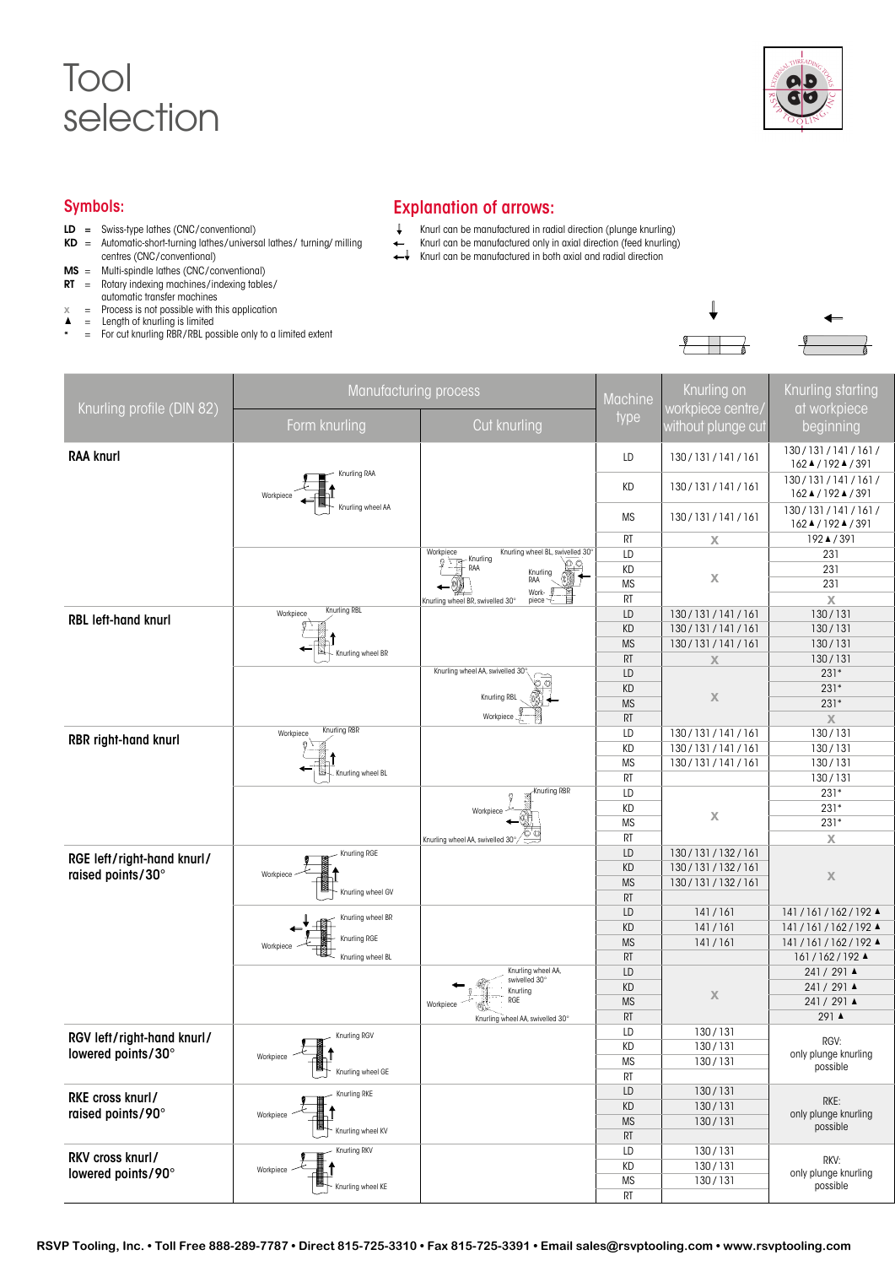## Tool selection



## Symbols:

- LD = Swiss-type lathes (CNC/ conventional)
- $KD =$  Automatic-short-turning lathes/universal lathes/turning/milling centres (CNC/ conventional)
- $MS =$  Multi-spindle lathes (CNC/ conventional)
- $RT =$  Rotary indexing machines/indexing tables/
- automatic transfer machines
- $x =$  Process is not possible with this application  $\triangle$  = Length of knurling is limited
- \* = For cut knurling RBR/RBL possible only to a limited extent

## Explanation of arrows:

- $\downarrow$ Knurl can be manufactured in radial direction (plunge knurling)
	- Knurl can be manufactured only in axial direction (feed knurling)
- Knurl can be manufactured only in uxidital and radial direction<br>
Knurl can be manufactured in both axial and radial direction



|                            | Manufacturing process                                                                                                  |                                                                                                                             |                 | Knurling on              | Knurling starting                              |
|----------------------------|------------------------------------------------------------------------------------------------------------------------|-----------------------------------------------------------------------------------------------------------------------------|-----------------|--------------------------|------------------------------------------------|
| Knurling profile (DIN 82)  |                                                                                                                        |                                                                                                                             | Machine         | vorkpiece centre         | at workpiece                                   |
|                            | Form knurling                                                                                                          | Cut knurling                                                                                                                | type            | <u>vithout</u> plunge cu | beginning                                      |
| <b>RAA knurl</b>           |                                                                                                                        |                                                                                                                             | LD              | 130/131/141/161          | 130/131/141/161/<br>162▲/192▲/391              |
|                            | Knurling RAA<br>$\begin{array}{c}\n\begin{array}{c}\n\downarrow \\ \downarrow \\ \downarrow\n\end{array}\n\end{array}$ |                                                                                                                             | KD              | 130/131/141/161          | 130/131/141/161/                               |
|                            | Workpiece<br>Knurling wheel AA                                                                                         |                                                                                                                             |                 |                          | 162▲/192▲/391<br>130/131/141/161/              |
|                            |                                                                                                                        |                                                                                                                             | <b>MS</b>       | 130/131/141/161          | 162▲/192▲/391                                  |
|                            |                                                                                                                        |                                                                                                                             | RT              | $\mathsf{X}$             | 192▲/391                                       |
|                            |                                                                                                                        | Workpiece<br>Knurling wheel BL, swivelled 30°                                                                               | LD              |                          | 231                                            |
|                            |                                                                                                                        | $\begin{array}{c}\n\text{Int}_1 \\ \text{Part}_2 \\ \text{Part}_3\n\end{array}$<br>$\sum_{n=1}^{\infty}$<br>Knurling<br>RAA | KD              | $\mathsf{X}$             | 231<br>231                                     |
|                            |                                                                                                                        | Work- $\overline{L}$ -                                                                                                      | MS<br>RT        |                          |                                                |
|                            | Knurling RBL<br>Workpiece                                                                                              | Knurling wheel BR, swivelled 30°                                                                                            | LD              | 130/131/141/161          | $\mathbb X$<br>130/131                         |
| RBL left-hand knurl        |                                                                                                                        |                                                                                                                             | KD              | 130/131/141/161          | 130/131                                        |
|                            |                                                                                                                        |                                                                                                                             | <b>MS</b>       | 130/131/141/161          | 130/131                                        |
|                            | Knurling wheel BR                                                                                                      |                                                                                                                             | RT              | $\chi$                   | 130/131                                        |
|                            |                                                                                                                        | Knurling wheel AA, swivelled 30°,                                                                                           | LD              |                          | $231*$                                         |
|                            |                                                                                                                        | ಾ                                                                                                                           | KD              |                          | $231*$                                         |
|                            |                                                                                                                        | Knurling RBL                                                                                                                | MS              | $\boldsymbol{X}$         | $231*$                                         |
|                            |                                                                                                                        | Workpiece -                                                                                                                 | RT              |                          | $\mathbb X$                                    |
| RBR right-hand knurl       | Knurling RBR<br>Workpiece                                                                                              |                                                                                                                             | LD              | 130/131/141/161          | 130/131                                        |
|                            |                                                                                                                        |                                                                                                                             | KD              | 130/131/141/161          | 130/131                                        |
|                            | ਿ                                                                                                                      |                                                                                                                             | <b>MS</b>       | 130/131/141/161          | 130/131                                        |
|                            | Knurling wheel BL                                                                                                      |                                                                                                                             | RT              |                          | 130/131                                        |
|                            |                                                                                                                        | Knurling RBR                                                                                                                | LD              |                          | $231*$                                         |
|                            |                                                                                                                        | Workpiece                                                                                                                   | KD              |                          | $231*$                                         |
|                            |                                                                                                                        |                                                                                                                             | MS              | $\mathsf{X}$             | $231*$                                         |
|                            |                                                                                                                        | Knurling wheel AA, swivelled 30°                                                                                            | RT              |                          | $\mathbb X$                                    |
| RGE left/right-hand knurl/ | - Knurling RGE                                                                                                         |                                                                                                                             | LD              | 130/131/132/161          |                                                |
| raised points/30°          | $\frac{1}{\sqrt{1-\frac{1}{2}}}\left\vert \frac{1}{\sqrt{1-\frac{1}{2}}}\right\vert$                                   |                                                                                                                             | KD              | 130/131/132/161          | $\mathbb X$                                    |
|                            | Knurling wheel GV                                                                                                      |                                                                                                                             | <b>MS</b>       | 130/131/132/161          |                                                |
|                            |                                                                                                                        |                                                                                                                             | RT              |                          |                                                |
|                            | - Knurling wheel BR                                                                                                    |                                                                                                                             | LD              | 141/161                  | $141/161/162/192$ $\blacktriangle$             |
|                            | $\leftarrow$<br>Knurling RGE                                                                                           |                                                                                                                             | KD              | 141/161<br>141/161       | 141/161/162/192▲                               |
|                            | Workpiece<br>Knurling wheel BL                                                                                         |                                                                                                                             | <b>MS</b><br>RT |                          | 141/161/162/192 4<br>$161/162/192$ $\triangle$ |
|                            |                                                                                                                        | Knurling wheel AA,                                                                                                          | LD              |                          | $241/291$ $\triangle$                          |
|                            |                                                                                                                        | swivelled 30°                                                                                                               | KD              |                          | 241 / 291 ▲                                    |
|                            |                                                                                                                        | Knurling<br>RGE                                                                                                             | <b>MS</b>       | $\mathbb X$              | $241/291$ $\triangle$                          |
|                            |                                                                                                                        | Workpiece<br>Knurling wheel AA, swivelled 30°                                                                               | RT              |                          | 291 ▲                                          |
|                            |                                                                                                                        |                                                                                                                             | LD              | 130/131                  |                                                |
| RGV left/right-hand knurl/ | Workpiece                                                                                                              |                                                                                                                             | KD              | 130/131                  | RGV:                                           |
| lowered points/30°         |                                                                                                                        |                                                                                                                             | MS              | 130/131                  | only plunge knurling<br>possible               |
|                            | Knurling wheel GE                                                                                                      |                                                                                                                             | RT              |                          |                                                |
|                            | Knurling RKE                                                                                                           |                                                                                                                             | LD              | 130/131                  |                                                |
| RKE cross knurl/           | $\pm$                                                                                                                  |                                                                                                                             | KD              | 130/131                  | $RKE$ :                                        |
| raised points/90°          | Workpiece                                                                                                              |                                                                                                                             | <b>MS</b>       | 130/131                  | only plunge knurling<br>possible               |
|                            | Knurling wheel KV                                                                                                      |                                                                                                                             | RT              |                          |                                                |
| RKV cross knurl/           | Knurling RKV                                                                                                           |                                                                                                                             | LD              | 130/131                  |                                                |
|                            | Workpiece                                                                                                              |                                                                                                                             | KD              | 130/131                  | RKV:                                           |
| lowered points/90°         | Knurling wheel KE                                                                                                      |                                                                                                                             | MS              | 130/131                  | only plunge knurling<br>possible               |
|                            |                                                                                                                        |                                                                                                                             | RT              |                          |                                                |